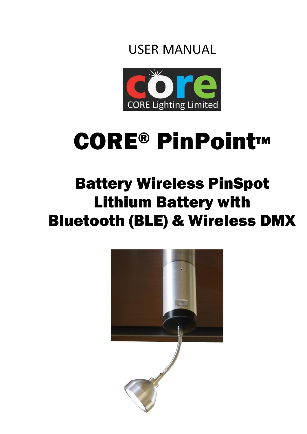



# CORE® PinPoint™

## Battery Wireless PinSpot Lithium Battery with Bluetooth (BLE) & Wireless DMX

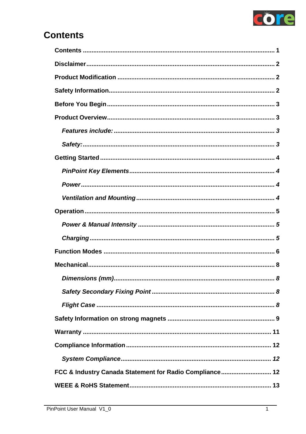

### <span id="page-2-0"></span>**Contents**

| . 8                                                     |
|---------------------------------------------------------|
|                                                         |
|                                                         |
|                                                         |
|                                                         |
|                                                         |
|                                                         |
| FCC & Industry Canada Statement for Radio Compliance 12 |
|                                                         |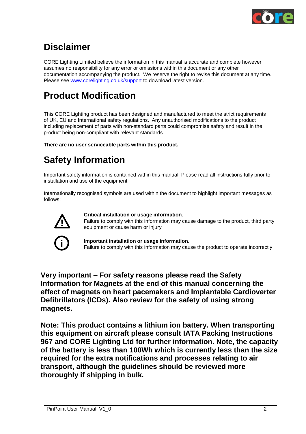

### <span id="page-3-0"></span>**Disclaimer**

CORE Lighting Limited believe the information in this manual is accurate and complete however assumes no responsibility for any error or omissions within this document or any other documentation accompanying the product. We reserve the right to revise this document at any time. Please see [www.corelighting.co.uk/support](http://www.corelighting.co.uk/support) to download latest version.

### <span id="page-3-1"></span>**Product Modification**

This CORE Lighting product has been designed and manufactured to meet the strict requirements of UK, EU and International safety regulations. Any unauthorised modifications to the product including replacement of parts with non-standard parts could compromise safety and result in the product being non-compliant with relevant standards.

**There are no user serviceable parts within this product.**

### <span id="page-3-2"></span>**Safety Information**

Important safety information is contained within this manual. Please read all instructions fully prior to installation and use of the equipment.

Internationally recognised symbols are used within the document to highlight important messages as follows:



#### **Critical installation or usage information**.

Failure to comply with this information may cause damage to the product, third party equipment or cause harm or injury

**Important installation or usage information.** Failure to comply with this information may cause the product to operate incorrectly

**Very important – For safety reasons please read the Safety Information for Magnets at the end of this manual concerning the effect of magnets on heart pacemakers and Implantable Cardioverter Defibrillators (ICDs). Also review for the safety of using strong magnets.**

**Note: This product contains a lithium ion battery. When transporting this equipment on aircraft please consult IATA Packing Instructions 967 and CORE Lighting Ltd for further information. Note, the capacity of the battery is less than 100Wh which is currently less than the size required for the extra notifications and processes relating to air transport, although the guidelines should be reviewed more thoroughly if shipping in bulk.**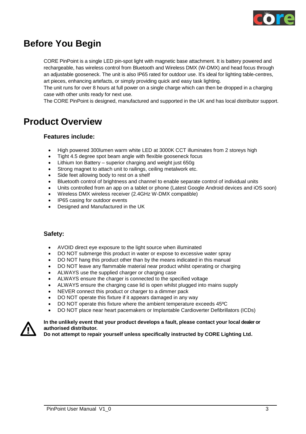

### <span id="page-4-0"></span>**Before You Begin**

CORE PinPoint is a single LED pin-spot light with magnetic base attachment. It is battery powered and rechargeable, has wireless control from Bluetooth and Wireless DMX (W-DMX) and head focus through an adjustable gooseneck. The unit is also IP65 rated for outdoor use. It's ideal for lighting table-centres, art pieces, enhancing artefacts, or simply providing quick and easy task lighting.

The unit runs for over 8 hours at full power on a single charge which can then be dropped in a charging case with other units ready for next use.

The CORE PinPoint is designed, manufactured and supported in the UK and has local distributor support.

### <span id="page-4-2"></span><span id="page-4-1"></span>**Product Overview**

#### **Features include:**

- High powered 300lumen warm white LED at 3000K CCT illuminates from 2 storeys high
- Tight 4.5 degree spot beam angle with flexible gooseneck focus
- Lithium Ion Battery superior charging and weight just 650g
- Strong magnet to attach unit to railings, ceiling metalwork etc.
- Side feet allowing body to rest on a shelf
- Bluetooth control of brightness and channel to enable separate control of individual units
- Units controlled from an app on a tablet or phone (Latest Google Android devices and iOS soon)
- Wireless DMX wireless receiver (2.4GHz W-DMX compatible)
- IP65 casing for outdoor events
- Designed and Manufactured in the UK

#### <span id="page-4-3"></span>**Safety:**

- AVOID direct eye exposure to the light source when illuminated
- DO NOT submerge this product in water or expose to excessive water spray
- DO NOT hang this product other than by the means indicated in this manual
- DO NOT leave any flammable material near product whilst operating or charging
- ALWAYS use the supplied charger or charging case
- ALWAYS ensure the charger is connected to the specified voltage
- ALWAYS ensure the charging case lid is open whilst plugged into mains supply
- NEVER connect this product or charger to a dimmer pack
- DO NOT operate this fixture if it appears damaged in any way
- DO NOT operate this fixture where the ambient temperature exceeds 45ºC
- DO NOT place near heart pacemakers or Implantable Cardioverter Defibrillators (ICDs)



#### **In the unlikely event that your product develops a fault, please contact your local dealer or authorised distributor.**

**Do not attempt to repair yourself unless specifically instructed by CORE Lighting Ltd.**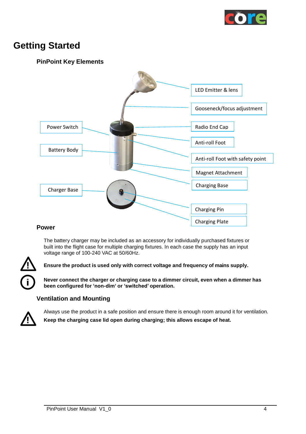

### <span id="page-5-1"></span><span id="page-5-0"></span>**Getting Started**

#### **PinPoint Key Elements**



#### <span id="page-5-2"></span>**Power**

The battery charger may be included as an accessory for individually purchased fixtures or built into the flight case for multiple charging fixtures. In each case the supply has an input voltage range of 100-240 VAC at 50/60Hz.



**! Ensure the product is used only with correct voltage and frequency of mains supply.**

**Never connect the charger or charging case to a dimmer circuit, even when a dimmer has been configured for 'non-dim' or 'switched' operation.**

#### **Ventilation and Mounting**

<span id="page-5-3"></span>

Always use the product in a safe position and ensure there is enough room around it for ventilation. **! Keep the charging case lid open during charging; this allows escape of heat.**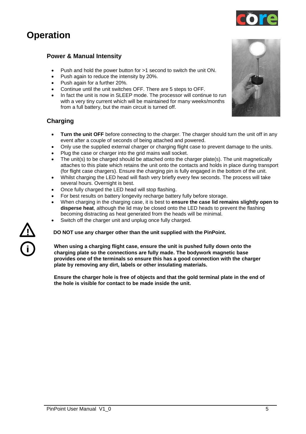### <span id="page-6-1"></span><span id="page-6-0"></span>**Operation**

#### **Power & Manual Intensity**

- Push and hold the power button for >1 second to switch the unit ON.
- Push again to reduce the intensity by 20%.
- Push again for a further 20%.
- Continue until the unit switches OFF. There are 5 steps to OFF.
- In fact the unit is now in SLEEP mode. The processor will continue to run with a very tiny current which will be maintained for many weeks/months from a full battery, but the main circuit is turned off.

#### <span id="page-6-2"></span>**Charging**

- **Turn the unit OFF** before connecting to the charger. The charger should turn the unit off in any event after a couple of seconds of being attached and powered.
- Only use the supplied external charger or charging flight case to prevent damage to the units.
- Plug the case or charger into the grid mains wall socket.
- The unit(s) to be charged should be attached onto the charger plate(s). The unit magnetically attaches to this plate which retains the unit onto the contacts and holds in place during transport (for flight case chargers). Ensure the charging pin is fully engaged in the bottom of the unit.
- Whilst charging the LED head will flash very briefly every few seconds. The process will take several hours. Overnight is best.
- Once fully charged the LED head will stop flashing.
- For best results on battery longevity recharge battery fully before storage.
- When charging in the charging case, it is best to **ensure the case lid remains slightly open to disperse heat**, although the lid may be closed onto the LED heads to prevent the flashing becoming distracting as heat generated from the heads will be minimal.
- Switch off the charger unit and unplug once fully charged.

**! DO NOT use any charger other than the unit supplied with the PinPoint.**

**When using a charging flight case, ensure the unit is pushed fully down onto the charging plate so the connections are fully made. The bodywork magnetic base provides one of the terminals so ensure this has a good connection with the charger plate by removing any dirt, labels or other insulating materials.**

**Ensure the charger hole is free of objects and that the gold terminal plate in the end of the hole is visible for contact to be made inside the unit.**





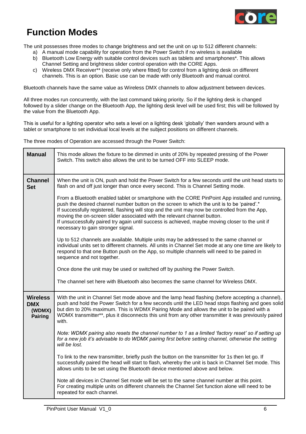

### <span id="page-7-0"></span>**Function Modes**

The unit possesses three modes to change brightness and set the unit on up to 512 different channels:

- a) A manual mode capability for operation from the Power Switch if no wireless is available
- b) Bluetooth Low Energy with suitable control devices such as tablets and smartphones\*. This allows Channel Setting and brightness slider control operation with the CORE Apps.
- c) Wireless DMX Receiver\*\* (receive only where fitted) for control from a lighting desk on different channels. This is an option. Basic use can be made with only Bluetooth and manual control.

Bluetooth channels have the same value as Wireless DMX channels to allow adjustment between devices.

All three modes run concurrently, with the last command taking priority. So if the lighting desk is changed followed by a slider change on the Bluetooth App, the lighting desk level will be used first; this will be followed by the value from the Bluetooth App.

This is useful for a lighting operator who sets a level on a lighting desk 'globally' then wanders around with a tablet or smartphone to set individual local levels at the subject positions on different channels.

The three modes of Operation are accessed through the Power Switch:

| <b>Manual</b>                                             | This mode allows the fixture to be dimmed in units of 20% by repeated pressing of the Power<br>Switch. This switch also allows the unit to be turned OFF into SLEEP mode.                                                                                                                                                                                                                                                                                                                                              |
|-----------------------------------------------------------|------------------------------------------------------------------------------------------------------------------------------------------------------------------------------------------------------------------------------------------------------------------------------------------------------------------------------------------------------------------------------------------------------------------------------------------------------------------------------------------------------------------------|
| <b>Channel</b><br><b>Set</b>                              | When the unit is ON, push and hold the Power Switch for a few seconds until the unit head starts to<br>flash on and off just longer than once every second. This is Channel Setting mode.                                                                                                                                                                                                                                                                                                                              |
|                                                           | From a Bluetooth enabled tablet or smartphone with the CORE PinPoint App installed and running,<br>push the desired channel number button on the screen to which the unit is to be 'paired'.*<br>If successfully registered, flashing will stop and the unit may now be controlled from the App,<br>moving the on-screen slider associated with the relevant channel button.<br>If unsuccessfully paired try again until success is achieved, maybe moving closer to the unit if<br>necessary to gain stronger signal. |
|                                                           | Up to 512 channels are available. Multiple units may be addressed to the same channel or<br>individual units set to different channels. All units in Channel Set mode at any one time are likely to<br>respond to that one Button push on the App, so multiple channels will need to be paired in<br>sequence and not together.                                                                                                                                                                                        |
|                                                           | Once done the unit may be used or switched off by pushing the Power Switch.                                                                                                                                                                                                                                                                                                                                                                                                                                            |
|                                                           | The channel set here with Bluetooth also becomes the same channel for Wireless DMX.                                                                                                                                                                                                                                                                                                                                                                                                                                    |
| <b>Wireless</b><br><b>DMX</b><br>(WDMX)<br><b>Pairing</b> | With the unit in Channel Set mode above and the lamp head flashing (before accepting a channel),<br>push and hold the Power Switch for a few seconds until the LED head stops flashing and goes solid<br>but dim to 20% maximum. This is WDMX Pairing Mode and allows the unit to be paired with a<br>WDMX transmitter**, plus it disconnects this unit from any other transmitter it was previously paired<br>with.                                                                                                   |
|                                                           | Note: WDMX pairing also resets the channel number to 1 as a limited 'factory reset' so if setting up<br>for a new job it's advisable to do WDMX pairing first before setting channel, otherwise the setting<br>will be lost.                                                                                                                                                                                                                                                                                           |
|                                                           | To link to the new transmitter, briefly push the button on the transmitter for 1s then let go. If<br>successfully paired the head will start to flash, whereby the unit is back in Channel Set mode. This<br>allows units to be set using the Bluetooth device mentioned above and below.                                                                                                                                                                                                                              |
|                                                           | Note all devices in Channel Set mode will be set to the same channel number at this point.<br>For creating multiple units on different channels the Channel Set function alone will need to be<br>repeated for each channel.                                                                                                                                                                                                                                                                                           |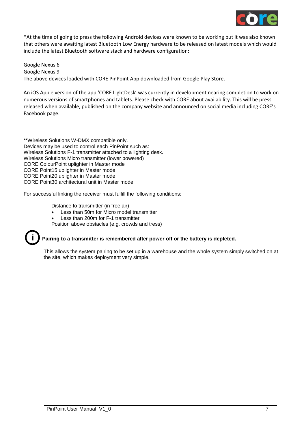

\*At the time of going to press the following Android devices were known to be working but it was also known that others were awaiting latest Bluetooth Low Energy hardware to be released on latest models which would include the latest Bluetooth software stack and hardware configuration:

Google Nexus 6 Google Nexus 9 The above devices loaded with CORE PinPoint App downloaded from Google Play Store.

An iOS Apple version of the app 'CORE LightDesk' was currently in development nearing completion to work on numerous versions of smartphones and tablets. Please check with CORE about availability. This will be press released when available, published on the company website and announced on social media including CORE's Facebook page.

\*\*Wireless Solutions W-DMX compatible only. Devices may be used to control each PinPoint such as: Wireless Solutions F-1 transmitter attached to a lighting desk. Wireless Solutions Micro transmitter (lower powered) CORE ColourPoint uplighter in Master mode CORE Point15 uplighter in Master mode CORE Point20 uplighter in Master mode CORE Point30 architectural unit in Master mode

For successful linking the receiver must fulfill the following conditions:

Distance to transmitter (in free air)

- Less than 50m for Micro model transmitter
- Less than 200m for F-1 transmitter

Position above obstacles (e.g. crowds and tress)



#### **i Pairing to a transmitter is remembered after power off or the battery is depleted.**

This allows the system pairing to be set up in a warehouse and the whole system simply switched on at the site, which makes deployment very simple.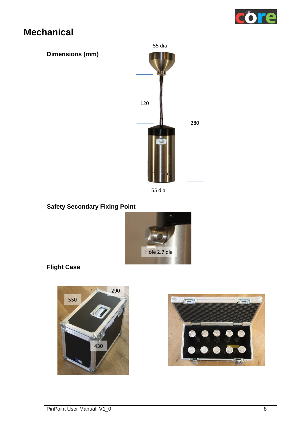

### <span id="page-9-1"></span><span id="page-9-0"></span>**Mechanical**



55 dia

#### <span id="page-9-2"></span>**Safety Secondary Fixing Point**



### <span id="page-9-3"></span>**Flight Case**



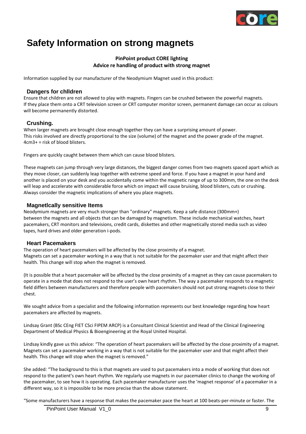

### <span id="page-10-0"></span>**Safety Information on strong magnets**

#### **PinPoint product CORE lighting Advice re handling of product with strong magnet**

Information supplied by our manufacturer of the Neodymium Magnet used in this product:

#### **Dangers for chlldren**

Ensure that children are not allowed to play with magnets. Fingers can be crushed between the powerful magnets. If they place them onto a CRT television screen or CRT computer monitor screen, permanent damage can occur as colours will become permanently distorted.

#### **Crushing.**

When larger magnets are brought close enough together they can have a surprising amount of power. This risks involved are directly proportional to the size (volume) of the magnet and the power grade of the magnet. 4cm3+ = risk of blood blisters.

Fingers are quickly caught between them which can cause blood blisters.

These magnets can jump through very large distances, the biggest danger comes from two magnets spaced apart which as they move closer, can suddenly leap together with extreme speed and force. If you have a magnet in your hand and another is placed on your desk and you accidentally come within the magnetic range of up to 300mm, the one on the desk will leap and accelerate with considerable force which on impact will cause bruising, blood blisters, cuts or crushing. Always consider the magnetic implications of where you place magnets.

#### **Magnetlcally sensitive Items**

Neodymium magnets are very much stronger than "ordinary" magnets. Keep a safe distance (300mm+) between the magnets and all objects that can be damaged by magnetism. These include mechanical watches, heart pacemakers, CRT monitors and televisions, credit cards, diskettes and other magnetically stored media such as video tapes, hard drives and older generation i-pods.

#### **Heart Pacemakers**

The operation of heart pacemakers will be affected by the close proximity of a magnet. Magnets can set a pacemaker working in a way that is not suitable for the pacemaker user and that might affect their health. This change will stop when the magnet is removed.

(It is possible that a heart pacemaker will be affected by the close proximity of a magnet as they can cause pacemakers to operate in a mode that does not respond to the user's own heart rhythm. The way a pacemaker responds to a magnetic field differs between manufacturers and therefore people with pacemakers should not put strong magnets close to their chest.

We sought advice from a specialist and the following information represents our best knowledge regarding how heart pacemakers are affected by magnets.

Lindsay Grant (BSc CEng FIET CSci FIPEM ARCP) is a Consultant Clinical Scientist and Head of the Clinical Engineering Department of Medical Physics & Bioengineering at the Royal United Hospital.

Lindsay kindly gave us this advice: "The operation of heart pacemakers will be affected by the close proximity of a magnet. Magnets can set a pacemaker working in a way that is not suitable for the pacemaker user and that might affect their health. This change will stop when the magnet is removed."

She added: "The background to this is that magnets are used to put pacemakers into a mode of working that does not respond to the patient's own heart rhythm. We regularly use magnets in our pacemaker clinics to change the working of the pacemaker, to see how it is operating. Each pacemaker manufacturer uses the 'magnet response' of a pacemaker in a different way, so it is impossible to be more precise than the above statement.

"Some manufacturers have a response that makes the pacemaker pace the heart at 100 beats-per-minute or faster. The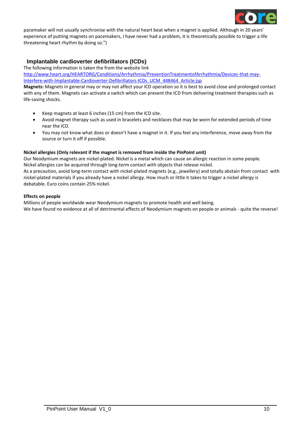

pacemaker will not usually synchronise with the natural heart beat when a magnet is applied. Although in 20 years' experience of putting magnets on pacemakers, I have never had a problem, it is theoretically possible to trigger a life threatening heart rhythm by doing so.")

#### **Implantable cardioverter defibrillators (ICDs)**

The following information is taken the from the website link

[http://www.heart.org/HEARTORG/Conditions/Arrhythmia/PreventionTreatmentofArrhythmia/Devices-that-may-](http://www.heart.org/HEARTORG/Conditions/Arrhythmia/PreventionTreatmentofArrhythmia/Devices-that-may-Interfere-with-Implantable-Cardioverter-Defibrillators-ICDs_UCM_448464_Article.jsp)[Interfere-with-Implantable-Cardioverter-Defibrillators-ICDs\\_UCM\\_448464\\_Article.jsp](http://www.heart.org/HEARTORG/Conditions/Arrhythmia/PreventionTreatmentofArrhythmia/Devices-that-may-Interfere-with-Implantable-Cardioverter-Defibrillators-ICDs_UCM_448464_Article.jsp)

**Magnets:** Magnets in general may or may not affect your ICD operation so it is best to avoid close and prolonged contact with any of them. Magnets can activate a switch which can prevent the ICD from delivering treatment therapies such as life-saving shocks.

- Keep magnets at least 6 inches (15 cm) from the ICD site.
- Avoid magnet therapy such as used in bracelets and necklaces that may be worn for extended periods of time near the ICD.
- You may not know what does or doesn't have a magnet in it. If you feel any interference, move away from the source or turn it off if possible.

#### **Nickel allergies (Only relevant if the magnet is removed from inside the PinPoint unit)**

Our Neodymium magnets are nickel-plated. Nickel is a metal which can cause an allergic reaction in some people. Nickel allergies can be acquired through long-term contact with objects that release nickel.

As a precaution, avoid long-term contact with nickel-plated magnets (e.g., jewellery) and totally abstain from contact with nickel-plated materials if you already have a nickel allergy. How much or little it takes to trigger a nickel allergy is debatable. Euro coins contain 25% nickel.

#### **Effects on people**

Millions of people worldwide wear Neodymium magnets to promote health and well being. We have found no evidence at all of detrimental effects of Neodymium magnets on people or animals - quite the reverse!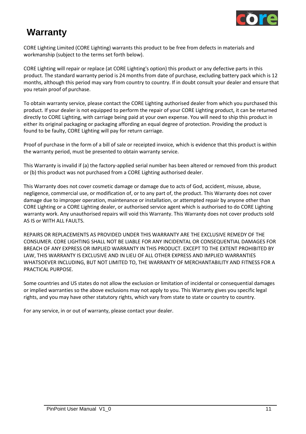

### <span id="page-12-0"></span>**Warranty**

CORE Lighting Limited (CORE Lighting) warrants this product to be free from defects in materials and workmanship (subject to the terms set forth below).

CORE Lighting will repair or replace (at CORE Lighting's option) this product or any defective parts in this product. The standard warranty period is 24 months from date of purchase, excluding battery pack which is 12 months, although this period may vary from country to country. If in doubt consult your dealer and ensure that you retain proof of purchase.

To obtain warranty service, please contact the CORE Lighting authorised dealer from which you purchased this product. If your dealer is not equipped to perform the repair of your CORE Lighting product, it can be returned directly to CORE Lighting, with carriage being paid at your own expense. You will need to ship this product in either its original packaging or packaging affording an equal degree of protection. Providing the product is found to be faulty, CORE Lighting will pay for return carriage.

Proof of purchase in the form of a bill of sale or receipted invoice, which is evidence that this product is within the warranty period, must be presented to obtain warranty service.

This Warranty is invalid if (a) the factory-applied serial number has been altered or removed from this product or (b) this product was not purchased from a CORE Lighting authorised dealer.

This Warranty does not cover cosmetic damage or damage due to acts of God, accident, misuse, abuse, negligence, commercial use, or modification of, or to any part of, the product. This Warranty does not cover damage due to improper operation, maintenance or installation, or attempted repair by anyone other than CORE Lighting or a CORE Lighting dealer, or authorised service agent which is authorised to do CORE Lighting warranty work. Any unauthorised repairs will void this Warranty. This Warranty does not cover products sold AS IS or WITH ALL FAULTS.

REPAIRS OR REPLACEMENTS AS PROVIDED UNDER THIS WARRANTY ARE THE EXCLUSIVE REMEDY OF THE CONSUMER. CORE LIGHTING SHALL NOT BE LIABLE FOR ANY INCIDENTAL OR CONSEQUENTIAL DAMAGES FOR BREACH OF ANY EXPRESS OR IMPLIED WARRANTY IN THIS PRODUCT. EXCEPT TO THE EXTENT PROHIBITED BY LAW, THIS WARRANTY IS EXCLUSIVE AND IN LIEU OF ALL OTHER EXPRESS AND IMPLIED WARRANTIES WHATSOEVER INCLUDING, BUT NOT LIMITED TO, THE WARRANTY OF MERCHANTABILITY AND FITNESS FOR A PRACTICAL PURPOSE.

Some countries and US states do not allow the exclusion or limitation of incidental or consequential damages or implied warranties so the above exclusions may not apply to you. This Warranty gives you specific legal rights, and you may have other statutory rights, which vary from state to state or country to country.

For any service, in or out of warranty, please contact your dealer.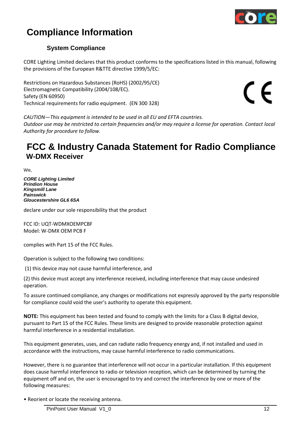

### <span id="page-13-0"></span>**Compliance Information**

#### **System Compliance**

<span id="page-13-1"></span>CORE Lighting Limited declares that this product conforms to the specifications listed in this manual, following the provisions of the European R&TTE directive 1999/5/EC:

Restrictions on Hazardous Substances (RoHS) (2002/95/CE) Electromagnetic Compatibility (2004/108/EC). Safety (EN 60950) Technical requirements for radio equipment. (EN 300 328)

 $\epsilon$ 

*CAUTION—This equipment is intended to be used in all EU and EFTA countries. Outdoor use may be restricted to certain frequencies and/or may require a license for operation. Contact local Authority for procedure to follow.*

### <span id="page-13-2"></span>**FCC & Industry Canada Statement for Radio Compliance W-DMX Receiver**

We,

*CORE Lighting Limited Prindion House Kingsmill Lane Painswick Gloucestershire GL6 6SA*

declare under our sole responsibility that the product

FCC ID: UQT-WDMXOEMPCBF Model: W-DMX OEM PCB F

complies with Part 15 of the FCC Rules.

Operation is subject to the following two conditions:

(1) this device may not cause harmful interference, and

(2) this device must accept any interference received, including interference that may cause undesired operation.

To assure continued compliance, any changes or modifications not expressly approved by the party responsible for compliance could void the user's authority to operate this equipment.

**NOTE:** This equipment has been tested and found to comply with the limits for a Class B digital device, pursuant to Part 15 of the FCC Rules. These limits are designed to provide reasonable protection against harmful interference in a residential installation.

This equipment generates, uses, and can radiate radio frequency energy and, if not installed and used in accordance with the instructions, may cause harmful interference to radio communications.

However, there is no guarantee that interference will not occur in a particular installation. If this equipment does cause harmful interference to radio or television reception, which can be determined by turning the equipment off and on, the user is encouraged to try and correct the interference by one or more of the following measures:

• Reorient or locate the receiving antenna.